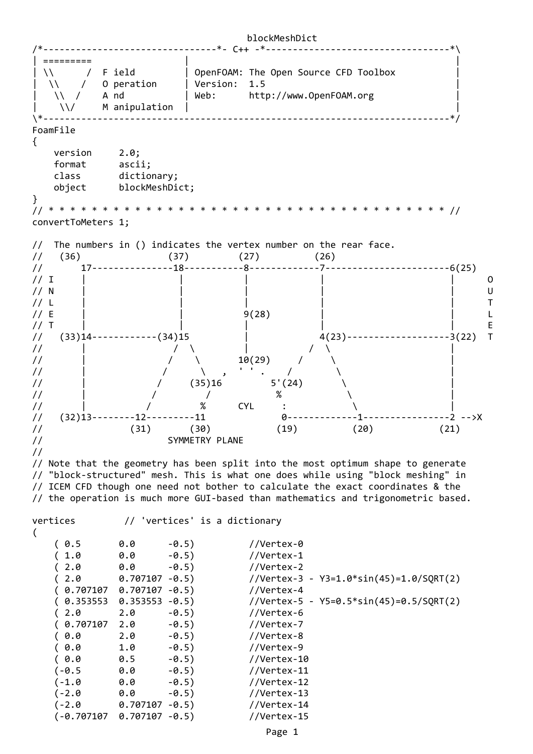

(‐0.707107 0.707107 ‐0.5) //Vertex‐15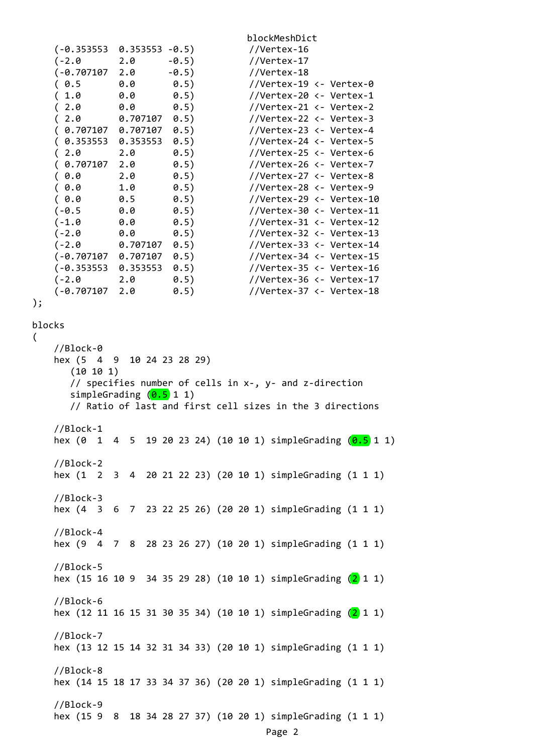blockMeshDict (‐0.353553 0.353553 ‐0.5) //Vertex‐16 (‐2.0 2.0 ‐0.5) //Vertex‐17 (‐0.707107 2.0 ‐0.5) //Vertex‐18 ( 0.5 0.0 0.5) //Vertex‐19 <‐ Vertex‐0 ( 1.0 0.0 0.5) //Vertex‐20 <‐ Vertex‐1 ( 2.0 0.0 0.5) //Vertex‐21 <‐ Vertex‐2 ( 2.0 0.707107 0.5) //Vertex‐22 <‐ Vertex‐3 ( 0.707107 0.707107 0.5) //Vertex‐23 <‐ Vertex‐4 ( 0.353553 0.353553 0.5) //Vertex‐24 <‐ Vertex‐5 ( 2.0 2.0 0.5) //Vertex‐25 <‐ Vertex‐6 ( 0.707107 2.0 0.5) //Vertex‐26 <‐ Vertex‐7 ( 0.0 2.0 0.5) //Vertex‐27 <‐ Vertex‐8 ( 0.0 1.0 0.5) //Vertex‐28 <‐ Vertex‐9 ( 0.0 0.5 0.5) //Vertex‐29 <‐ Vertex‐10  $(-0.5 \t 0.0 \t 0.5)$  //Vertex-30 <- Vertex-11 (‐1.0 0.0 0.5) //Vertex‐31 <‐ Vertex‐12 (‐2.0 0.0 0.5) //Vertex‐32 <‐ Vertex‐13 (‐2.0 0.707107 0.5) //Vertex‐33 <‐ Vertex‐14 (‐0.707107 0.707107 0.5) //Vertex‐34 <‐ Vertex‐15 (‐0.353553 0.353553 0.5) //Vertex‐35 <‐ Vertex‐16 (‐2.0 2.0 0.5) //Vertex‐36 <‐ Vertex‐17 (‐0.707107 2.0 0.5) //Vertex‐37 <‐ Vertex‐18 ); blocks //Block‐0 hex (5 4 9 10 24 23 28 29) (10 10 1) // specifies number of cells in x‐, y‐ and z‐direction simpleGrading  $(0.5 1 1)$  // Ratio of last and first cell sizes in the 3 directions //Block‐1 hex (0 1 4 5 19 20 23 24) (10 10 1) simpleGrading  $(0.5)$  1 1) //Block‐2 hex (1 2 3 4 20 21 22 23) (20 10 1) simpleGrading (1 1 1) //Block‐3 hex (4 3 6 7 23 22 25 26) (20 20 1) simpleGrading (1 1 1) //Block‐4 hex (9 4 7 8 28 23 26 27) (10 20 1) simpleGrading (1 1 1) //Block‐5 hex (15 16 10 9 34 35 29 28) (10 10 1) simpleGrading  $(2)$  1 1) //Block‐6 hex (12 11 16 15 31 30 35 34) (10 10 1) simpleGrading (2 1 1) //Block‐7 hex (13 12 15 14 32 31 34 33) (20 10 1) simpleGrading (1 1 1) //Block‐8 hex (14 15 18 17 33 34 37 36) (20 20 1) simpleGrading (1 1 1) //Block‐9 hex (15 9 8 18 34 28 27 37) (10 20 1) simpleGrading (1 1 1) Page 2

(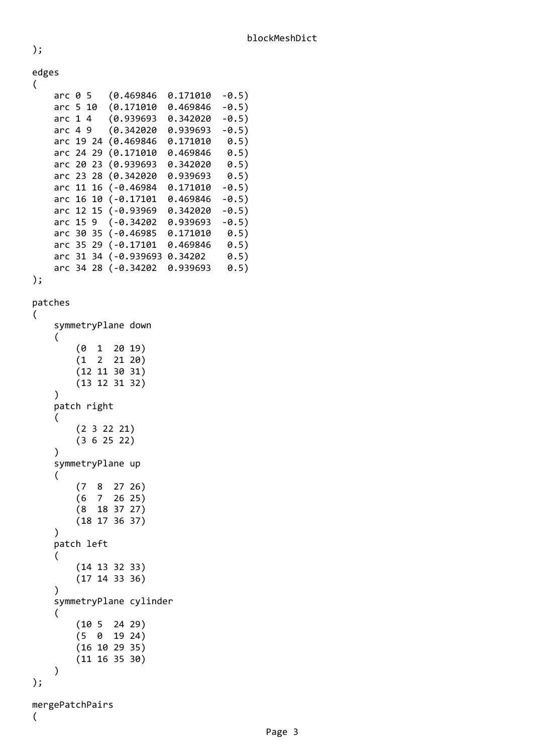| edges<br>( |          |  |                     |          |         |
|------------|----------|--|---------------------|----------|---------|
| arc 0 5    |          |  | (0.469846)          | 0.171010 | $-0.5)$ |
|            | arc 5 10 |  | (0.171010           | 0.469846 | $-0.5)$ |
|            | arc 14   |  | (0.939693)          | 0.342020 | $-0.5)$ |
|            | arc $49$ |  | (0.342020           | 0.939693 | $-0.5)$ |
| arc 19 24  |          |  | (0.469846)          | 0.171010 | 0.5)    |
| arc 24 29  |          |  | (0.171010           | 0.469846 | 0.5)    |
|            |          |  | arc 20 23 (0.939693 | 0.342020 | 0.5)    |
|            |          |  | arc 23 28 (0.342020 | 0.939693 | 0.5)    |
|            |          |  | arc 11 16 (-0.46984 | 0.171010 | $-0.5)$ |
|            |          |  | arc 16 10 (-0.17101 | 0.469846 | $-0.5)$ |
|            |          |  | arc 12 15 (-0.93969 | 0.342020 | $-0.5)$ |
| arc 15 9   |          |  | $(-0.34202)$        | 0.939693 | $-0.5)$ |
| arc 30 35  |          |  | $(-0.46985)$        | 0.171010 | 0.5)    |
| arc 35 29  |          |  | $(-0.17101$         | 0.469846 | 0.5)    |
| arc 31 34  |          |  | $(-0.939693)$       | 0.34202  | 0.5)    |
| arc 34 28  |          |  | $(-0.34202)$        | 0.939693 | 0.5)    |

```
);
```
);

```
patches
```

```
(
```
(

```
    symmetryPlane down
          (
            (0 \t1 \t20 \t19)(1 \t2 \t21 \t20)(12 11 30 31)        (13 12 31 32)
          )
          patch right
          (
                    (2 3 22 21)
                    (3 6 25 22)
          )
          symmetryPlane up
          (
        (7  8  27 26)
        (6  7  26 25)
                   (8  18 37 27)
                    (18 17 36 37)
          )
          patch left
          (
                    (14 13 32 33)
                    (17 14 33 36)
      \left( \right)    symmetryPlane cylinder
          (
                    (10 5  24 29)
                    (5  0  19 24)
                    (16 10 29 35)
                    (11 16 35 30)
          )
);
mergePatchPairs
```